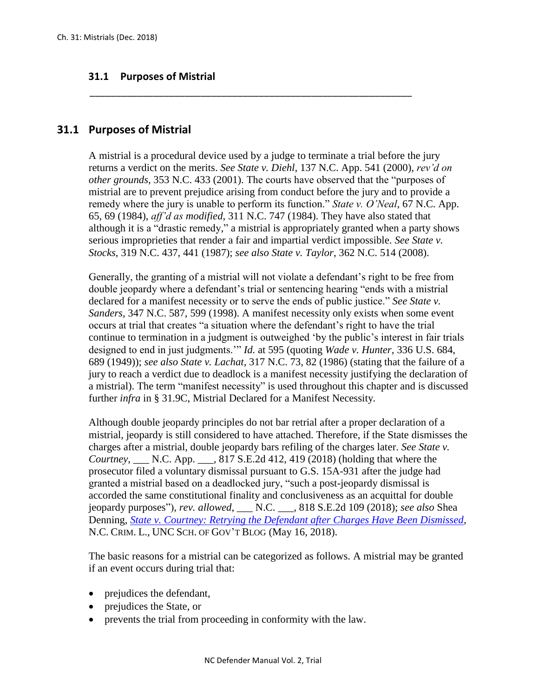## **31.1 Purposes of Mistrial**

## **31.1 Purposes of Mistrial**

A mistrial is a procedural device used by a judge to terminate a trial before the jury returns a verdict on the merits. *See State v. Diehl*, 137 N.C. App. 541 (2000), *rev'd on other grounds*, 353 N.C. 433 (2001). The courts have observed that the "purposes of mistrial are to prevent prejudice arising from conduct before the jury and to provide a remedy where the jury is unable to perform its function." *State v. O'Neal*, 67 N.C. App. 65, 69 (1984), *aff'd as modified*, 311 N.C. 747 (1984). They have also stated that although it is a "drastic remedy," a mistrial is appropriately granted when a party shows serious improprieties that render a fair and impartial verdict impossible. *See State v. Stocks*, 319 N.C. 437, 441 (1987); *see also State v. Taylor*, 362 N.C. 514 (2008).

\_\_\_\_\_\_\_\_\_\_\_\_\_\_\_\_\_\_\_\_\_\_\_\_\_\_\_\_\_\_\_\_\_\_\_\_\_\_\_\_\_\_\_\_\_\_\_\_\_\_\_\_\_\_\_\_\_\_\_\_\_

Generally, the granting of a mistrial will not violate a defendant's right to be free from double jeopardy where a defendant's trial or sentencing hearing "ends with a mistrial declared for a manifest necessity or to serve the ends of public justice." *See State v. Sanders*, 347 N.C. 587, 599 (1998). A manifest necessity only exists when some event occurs at trial that creates "a situation where the defendant's right to have the trial continue to termination in a judgment is outweighed 'by the public's interest in fair trials designed to end in just judgments.'" *Id.* at 595 (quoting *Wade v. Hunter*, 336 U.S. 684, 689 (1949)); *see also State v. Lachat*, 317 N.C. 73, 82 (1986) (stating that the failure of a jury to reach a verdict due to deadlock is a manifest necessity justifying the declaration of a mistrial). The term "manifest necessity" is used throughout this chapter and is discussed further *infra* in § 31.9C, Mistrial Declared for a Manifest Necessity*.*

Although double jeopardy principles do not bar retrial after a proper declaration of a mistrial, jeopardy is still considered to have attached. Therefore, if the State dismisses the charges after a mistrial, double jeopardy bars refiling of the charges later. *See State v. Courtney*, \_\_\_ N.C. App. \_\_\_, 817 S.E.2d 412, 419 (2018) (holding that where the prosecutor filed a voluntary dismissal pursuant to G.S. 15A-931 after the judge had granted a mistrial based on a deadlocked jury, "such a post-jeopardy dismissal is accorded the same constitutional finality and conclusiveness as an acquittal for double jeopardy purposes"), *rev. allowed*, \_\_\_ N.C. \_\_\_, 818 S.E.2d 109 (2018); *see also* Shea Denning, *[State v. Courtney: Retrying the Defendant after Charges Have Been Dismissed](https://nccriminallaw.sog.unc.edu/state-v-courtney-retrying-the-defendant-after-charges-have-been-dismissed/)*, N.C. CRIM. L., UNC SCH. OF GOV'T BLOG (May 16, 2018).

The basic reasons for a mistrial can be categorized as follows. A mistrial may be granted if an event occurs during trial that:

- prejudices the defendant,
- prejudices the State, or
- prevents the trial from proceeding in conformity with the law.